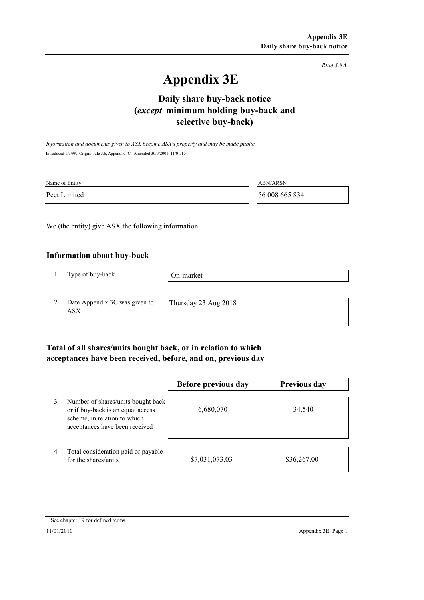*Rule 3.8A*

# **Appendix 3E**

## **selective buy-back) Daily share buy-back notice (***except* **minimum holding buy-back and**

*Information and documents given to ASX become ASX's property and may be made public.* Introduced 1/9/99. Origin: rule 3.6, Appendix 7C. Amended 30/9/2001, 11/01/10

| Name of Entity | <b>ABN/ARSN</b> |
|----------------|-----------------|
| Peet Limited   | 56 008 665 834  |

We (the entity) give ASX the following information.

#### **Information about buy-back**

1 Type of buy-back

On-market

2 Date Appendix 3C was given to ASX

Thursday 23 Aug 2018

### **Total of all shares/units bought back, or in relation to which acceptances have been received, before, and on, previous day**

|                |                                                                                                                                           | Before previous day | <b>Previous day</b> |
|----------------|-------------------------------------------------------------------------------------------------------------------------------------------|---------------------|---------------------|
| 3              | Number of shares/units bought back<br>or if buy-back is an equal access<br>scheme, in relation to which<br>acceptances have been received | 6,680,070           | 34,540              |
| $\overline{4}$ | Total consideration paid or payable<br>for the shares/units                                                                               | \$7,031,073.03      | \$36,267.00         |

<sup>+</sup> See chapter 19 for defined terms.